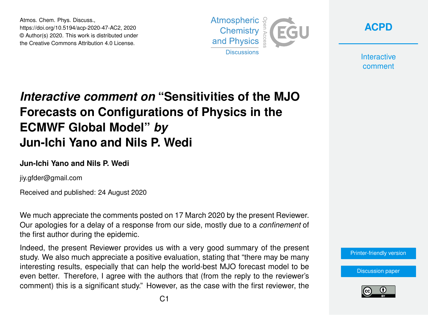Atmos. Chem. Phys. Discuss., https://doi.org/10.5194/acp-2020-47-AC2, 2020 © Author(s) 2020. This work is distributed under the Creative Commons Attribution 4.0 License.



**[ACPD](https://acp.copernicus.org/preprints/)**

**Interactive** comment

# *Interactive comment on* **"Sensitivities of the MJO Forecasts on Configurations of Physics in the ECMWF Global Model"** *by* **Jun-Ichi Yano and Nils P. Wedi**

#### **Jun-Ichi Yano and Nils P. Wedi**

jiy.gfder@gmail.com

Received and published: 24 August 2020

We much appreciate the comments posted on 17 March 2020 by the present Reviewer. Our apologies for a delay of a response from our side, mostly due to a *confinement* of the first author during the epidemic.

Indeed, the present Reviewer provides us with a very good summary of the present study. We also much appreciate a positive evaluation, stating that "there may be many interesting results, especially that can help the world-best MJO forecast model to be even better. Therefore, I agree with the authors that (from the reply to the reviewer's comment) this is a significant study." However, as the case with the first reviewer, the

[Printer-friendly version](https://acp.copernicus.org/preprints/acp-2020-47/acp-2020-47-AC2-print.pdf)

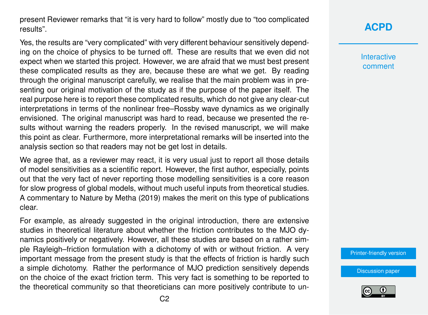present Reviewer remarks that "it is very hard to follow" mostly due to "too complicated results".

Yes, the results are "very complicated" with very different behaviour sensitively depending on the choice of physics to be turned off. These are results that we even did not expect when we started this project. However, we are afraid that we must best present these complicated results as they are, because these are what we get. By reading through the original manuscript carefully, we realise that the main problem was in presenting our original motivation of the study as if the purpose of the paper itself. The real purpose here is to report these complicated results, which do not give any clear-cut interpretations in terms of the nonlinear free–Rossby wave dynamics as we originally envisioned. The original manuscript was hard to read, because we presented the results without warning the readers properly. In the revised manuscript, we will make this point as clear. Furthermore, more interpretational remarks will be inserted into the analysis section so that readers may not be get lost in details.

We agree that, as a reviewer may react, it is very usual just to report all those details of model sensitivities as a scientific report. However, the first author, especially, points out that the very fact of never reporting those modelling sensitivities is a core reason for slow progress of global models, without much useful inputs from theoretical studies. A commentary to Nature by Metha (2019) makes the merit on this type of publications clear.

For example, as already suggested in the original introduction, there are extensive studies in theoretical literature about whether the friction contributes to the MJO dynamics positively or negatively. However, all these studies are based on a rather simple Rayleigh–friction formulation with a dichotomy of with or without friction. A very important message from the present study is that the effects of friction is hardly such a simple dichotomy. Rather the performance of MJO prediction sensitively depends on the choice of the exact friction term. This very fact is something to be reported to the theoretical community so that theoreticians can more positively contribute to un-

## **[ACPD](https://acp.copernicus.org/preprints/)**

**Interactive** comment

[Printer-friendly version](https://acp.copernicus.org/preprints/acp-2020-47/acp-2020-47-AC2-print.pdf)

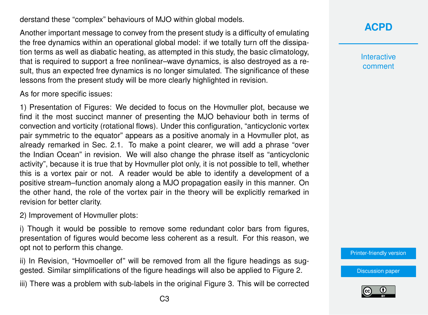derstand these "complex" behaviours of MJO within global models.

Another important message to convey from the present study is a difficulty of emulating the free dynamics within an operational global model: if we totally turn off the dissipation terms as well as diabatic heating, as attempted in this study, the basic climatology, that is required to support a free nonlinear–wave dynamics, is also destroyed as a result, thus an expected free dynamics is no longer simulated. The significance of these lessons from the present study will be more clearly highlighted in revision.

As for more specific issues:

1) Presentation of Figures: We decided to focus on the Hovmuller plot, because we find it the most succinct manner of presenting the MJO behaviour both in terms of convection and vorticity (rotational flows). Under this configuration, "anticyclonic vortex pair symmetric to the equator" appears as a positive anomaly in a Hovmuller plot, as already remarked in Sec. 2.1. To make a point clearer, we will add a phrase "over the Indian Ocean" in revision. We will also change the phrase itself as "anticyclonic activity", because it is true that by Hovmuller plot only, it is not possible to tell, whether this is a vortex pair or not. A reader would be able to identify a development of a positive stream–function anomaly along a MJO propagation easily in this manner. On the other hand, the role of the vortex pair in the theory will be explicitly remarked in revision for better clarity.

2) Improvement of Hovmuller plots:

i) Though it would be possible to remove some redundant color bars from figures, presentation of figures would become less coherent as a result. For this reason, we opt not to perform this change.

ii) In Revision, "Hovmoeller of" will be removed from all the figure headings as suggested. Similar simplifications of the figure headings will also be applied to Figure 2.

iii) There was a problem with sub-labels in the original Figure 3. This will be corrected

**[ACPD](https://acp.copernicus.org/preprints/)**

**Interactive** comment

[Printer-friendly version](https://acp.copernicus.org/preprints/acp-2020-47/acp-2020-47-AC2-print.pdf)